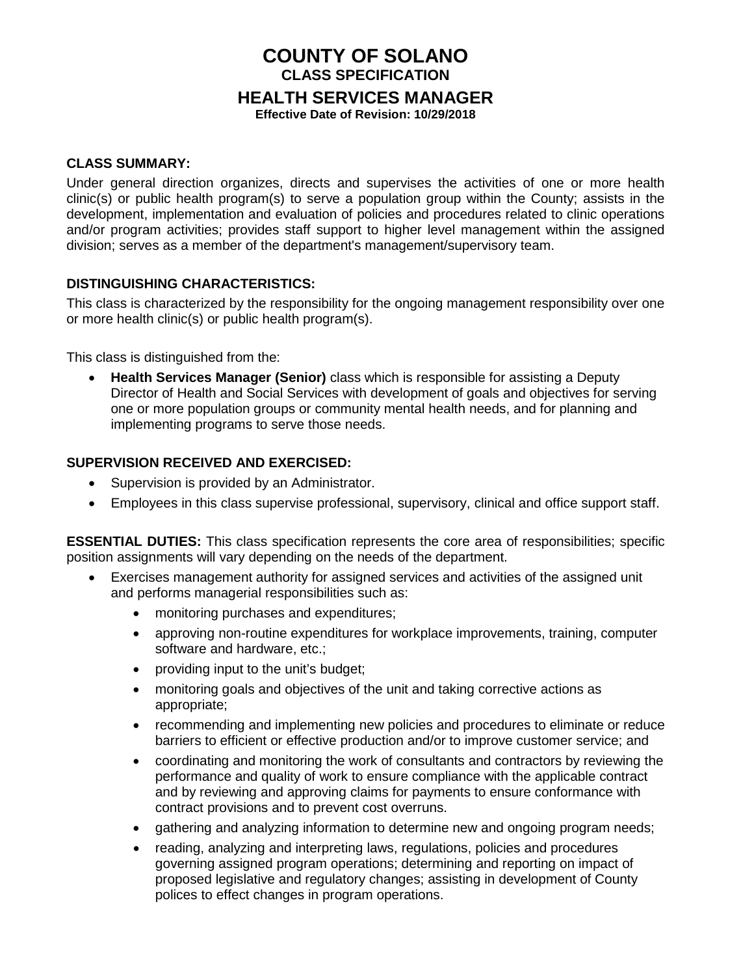# **COUNTY OF SOLANO CLASS SPECIFICATION HEALTH SERVICES MANAGER**

**Effective Date of Revision: 10/29/2018**

#### **CLASS SUMMARY:**

Under general direction organizes, directs and supervises the activities of one or more health clinic(s) or public health program(s) to serve a population group within the County; assists in the development, implementation and evaluation of policies and procedures related to clinic operations and/or program activities; provides staff support to higher level management within the assigned division; serves as a member of the department's management/supervisory team.

# **DISTINGUISHING CHARACTERISTICS:**

This class is characterized by the responsibility for the ongoing management responsibility over one or more health clinic(s) or public health program(s).

This class is distinguished from the:

• **Health Services Manager (Senior)** class which is responsible for assisting a Deputy Director of Health and Social Services with development of goals and objectives for serving one or more population groups or community mental health needs, and for planning and implementing programs to serve those needs.

#### **SUPERVISION RECEIVED AND EXERCISED:**

- Supervision is provided by an Administrator.
- Employees in this class supervise professional, supervisory, clinical and office support staff.

**ESSENTIAL DUTIES:** This class specification represents the core area of responsibilities; specific position assignments will vary depending on the needs of the department.

- Exercises management authority for assigned services and activities of the assigned unit and performs managerial responsibilities such as:
	- monitoring purchases and expenditures;
	- approving non-routine expenditures for workplace improvements, training, computer software and hardware, etc.;
	- providing input to the unit's budget;
	- monitoring goals and objectives of the unit and taking corrective actions as appropriate;
	- recommending and implementing new policies and procedures to eliminate or reduce barriers to efficient or effective production and/or to improve customer service; and
	- coordinating and monitoring the work of consultants and contractors by reviewing the performance and quality of work to ensure compliance with the applicable contract and by reviewing and approving claims for payments to ensure conformance with contract provisions and to prevent cost overruns.
	- gathering and analyzing information to determine new and ongoing program needs;
	- reading, analyzing and interpreting laws, regulations, policies and procedures governing assigned program operations; determining and reporting on impact of proposed legislative and regulatory changes; assisting in development of County polices to effect changes in program operations.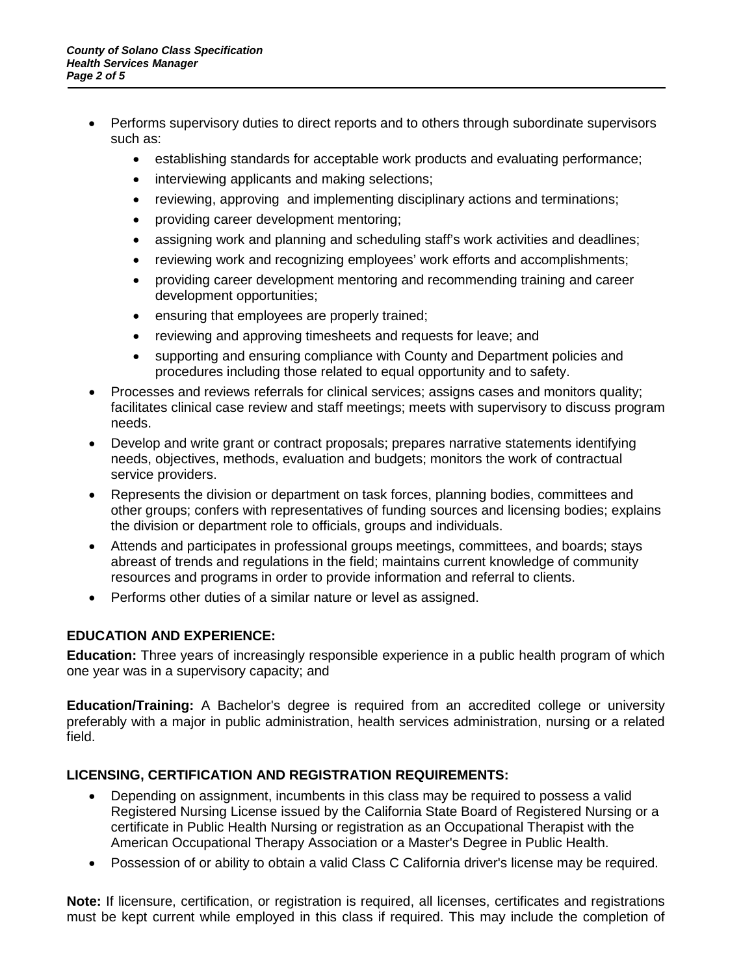- Performs supervisory duties to direct reports and to others through subordinate supervisors such as:
	- establishing standards for acceptable work products and evaluating performance;
	- interviewing applicants and making selections;
	- reviewing, approving and implementing disciplinary actions and terminations;
	- providing career development mentoring;
	- assigning work and planning and scheduling staff's work activities and deadlines;
	- reviewing work and recognizing employees' work efforts and accomplishments;
	- providing career development mentoring and recommending training and career development opportunities;
	- ensuring that employees are properly trained;
	- reviewing and approving timesheets and requests for leave; and
	- supporting and ensuring compliance with County and Department policies and procedures including those related to equal opportunity and to safety.
- Processes and reviews referrals for clinical services; assigns cases and monitors quality; facilitates clinical case review and staff meetings; meets with supervisory to discuss program needs.
- Develop and write grant or contract proposals; prepares narrative statements identifying needs, objectives, methods, evaluation and budgets; monitors the work of contractual service providers.
- Represents the division or department on task forces, planning bodies, committees and other groups; confers with representatives of funding sources and licensing bodies; explains the division or department role to officials, groups and individuals.
- Attends and participates in professional groups meetings, committees, and boards; stays abreast of trends and regulations in the field; maintains current knowledge of community resources and programs in order to provide information and referral to clients.
- Performs other duties of a similar nature or level as assigned.

# **EDUCATION AND EXPERIENCE:**

**Education:** Three years of increasingly responsible experience in a public health program of which one year was in a supervisory capacity; and

**Education/Training:** A Bachelor's degree is required from an accredited college or university preferably with a major in public administration, health services administration, nursing or a related field.

# **LICENSING, CERTIFICATION AND REGISTRATION REQUIREMENTS:**

- Depending on assignment, incumbents in this class may be required to possess a valid Registered Nursing License issued by the California State Board of Registered Nursing or a certificate in Public Health Nursing or registration as an Occupational Therapist with the American Occupational Therapy Association or a Master's Degree in Public Health.
- Possession of or ability to obtain a valid Class C California driver's license may be required.

**Note:** If licensure, certification, or registration is required, all licenses, certificates and registrations must be kept current while employed in this class if required. This may include the completion of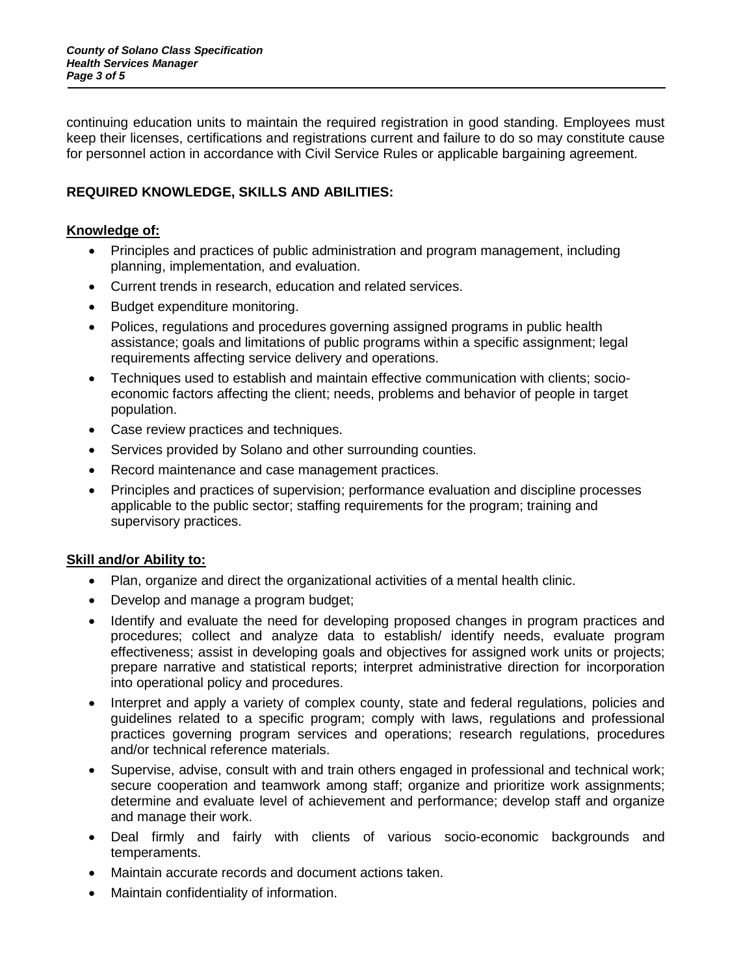continuing education units to maintain the required registration in good standing. Employees must keep their licenses, certifications and registrations current and failure to do so may constitute cause for personnel action in accordance with Civil Service Rules or applicable bargaining agreement.

# **REQUIRED KNOWLEDGE, SKILLS AND ABILITIES:**

#### **Knowledge of:**

- Principles and practices of public administration and program management, including planning, implementation, and evaluation.
- Current trends in research, education and related services.
- Budget expenditure monitoring.
- Polices, regulations and procedures governing assigned programs in public health assistance; goals and limitations of public programs within a specific assignment; legal requirements affecting service delivery and operations.
- Techniques used to establish and maintain effective communication with clients; socioeconomic factors affecting the client; needs, problems and behavior of people in target population.
- Case review practices and techniques.
- Services provided by Solano and other surrounding counties.
- Record maintenance and case management practices.
- Principles and practices of supervision; performance evaluation and discipline processes applicable to the public sector; staffing requirements for the program; training and supervisory practices.

#### **Skill and/or Ability to:**

- Plan, organize and direct the organizational activities of a mental health clinic.
- Develop and manage a program budget;
- Identify and evaluate the need for developing proposed changes in program practices and procedures; collect and analyze data to establish/ identify needs, evaluate program effectiveness; assist in developing goals and objectives for assigned work units or projects; prepare narrative and statistical reports; interpret administrative direction for incorporation into operational policy and procedures.
- Interpret and apply a variety of complex county, state and federal regulations, policies and guidelines related to a specific program; comply with laws, regulations and professional practices governing program services and operations; research regulations, procedures and/or technical reference materials.
- Supervise, advise, consult with and train others engaged in professional and technical work; secure cooperation and teamwork among staff; organize and prioritize work assignments; determine and evaluate level of achievement and performance; develop staff and organize and manage their work.
- Deal firmly and fairly with clients of various socio-economic backgrounds and temperaments.
- Maintain accurate records and document actions taken.
- Maintain confidentiality of information.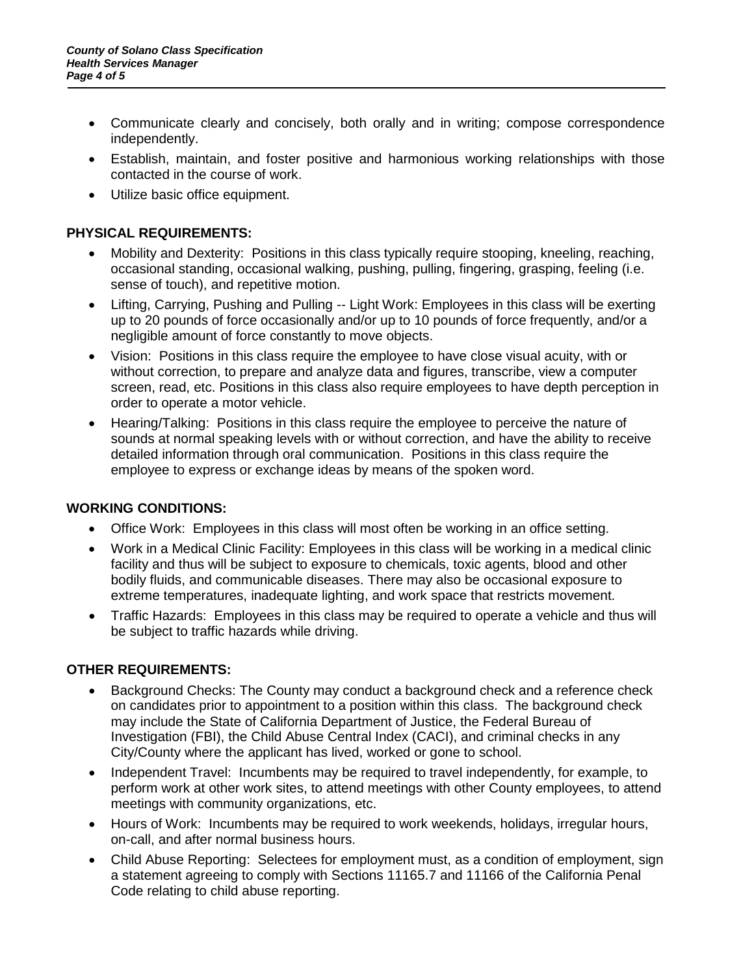- Communicate clearly and concisely, both orally and in writing; compose correspondence independently.
- Establish, maintain, and foster positive and harmonious working relationships with those contacted in the course of work.
- Utilize basic office equipment.

# **PHYSICAL REQUIREMENTS:**

- Mobility and Dexterity: Positions in this class typically require stooping, kneeling, reaching, occasional standing, occasional walking, pushing, pulling, fingering, grasping, feeling (i.e. sense of touch), and repetitive motion.
- Lifting, Carrying, Pushing and Pulling -- Light Work: Employees in this class will be exerting up to 20 pounds of force occasionally and/or up to 10 pounds of force frequently, and/or a negligible amount of force constantly to move objects.
- Vision: Positions in this class require the employee to have close visual acuity, with or without correction, to prepare and analyze data and figures, transcribe, view a computer screen, read, etc. Positions in this class also require employees to have depth perception in order to operate a motor vehicle.
- Hearing/Talking: Positions in this class require the employee to perceive the nature of sounds at normal speaking levels with or without correction, and have the ability to receive detailed information through oral communication. Positions in this class require the employee to express or exchange ideas by means of the spoken word.

# **WORKING CONDITIONS:**

- Office Work: Employees in this class will most often be working in an office setting.
- Work in a Medical Clinic Facility: Employees in this class will be working in a medical clinic facility and thus will be subject to exposure to chemicals, toxic agents, blood and other bodily fluids, and communicable diseases. There may also be occasional exposure to extreme temperatures, inadequate lighting, and work space that restricts movement.
- Traffic Hazards: Employees in this class may be required to operate a vehicle and thus will be subject to traffic hazards while driving.

# **OTHER REQUIREMENTS:**

- Background Checks: The County may conduct a background check and a reference check on candidates prior to appointment to a position within this class. The background check may include the State of California Department of Justice, the Federal Bureau of Investigation (FBI), the Child Abuse Central Index (CACI), and criminal checks in any City/County where the applicant has lived, worked or gone to school.
- Independent Travel: Incumbents may be required to travel independently, for example, to perform work at other work sites, to attend meetings with other County employees, to attend meetings with community organizations, etc.
- Hours of Work: Incumbents may be required to work weekends, holidays, irregular hours, on-call, and after normal business hours.
- Child Abuse Reporting: Selectees for employment must, as a condition of employment, sign a statement agreeing to comply with Sections 11165.7 and 11166 of the California Penal Code relating to child abuse reporting.